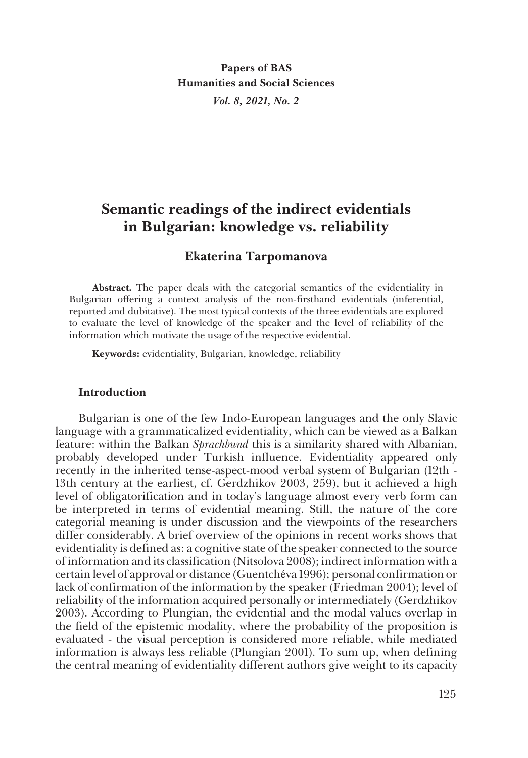**Papers of BAS Humanities and Social Sciences** *Vol. 8, 2021, No. 2*

# **Semantic readings of the indirect evidentials in Bulgarian: knowledge vs. reliability**

# **Ekaterina Tarpomanova**

**Abstract.** The paper deals with the categorial semantics of the evidentiality in Bulgarian offering a context analysis of the non-firsthand evidentials (inferential, reported and dubitative). The most typical contexts of the three evidentials are explored to evaluate the level of knowledge of the speaker and the level of reliability of the information which motivate the usage of the respective evidential.

**Keywords:** evidentiality, Bulgarian, knowledge, reliability

## **Introduction**

Bulgarian is one of the few Indo-European languages and the only Slavic language with a grammaticalized evidentiality, which can be viewed as a Balkan feature: within the Balkan *Sprachbund* this is a similarity shared with Albanian, probably developed under Turkish influence. Evidentiality appeared only recently in the inherited tense-aspect-mood verbal system of Bulgarian (12th - 13th century at the earliest, cf. Gerdzhikov 2003, 259), but it achieved a high level of obligatorification and in today's language almost every verb form can be interpreted in terms of evidential meaning. Still, the nature of the core categorial meaning is under discussion and the viewpoints of the researchers differ considerably. A brief overview of the opinions in recent works shows that evidentiality is defined as: a cognitive state of the speaker connected to the source of information and its classification (Nitsolova 2008); indirect information with a certain level of approval or distance (Guentchéva 1996); personal confirmation or lack of confirmation of the information by the speaker (Friedman 2004); level of reliability of the information acquired personally or intermediately (Gerdzhikov 2003). According to Plungian, the evidential and the modal values overlap in the field of the epistemic modality, where the probability of the proposition is evaluated - the visual perception is considered more reliable, while mediated information is always less reliable (Plungian 2001). To sum up, when defining the central meaning of evidentiality different authors give weight to its capacity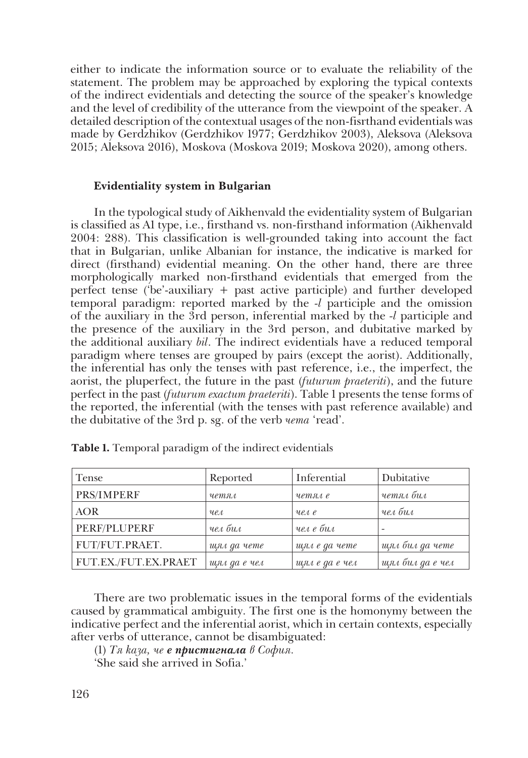either to indicate the information source or to evaluate the reliability of the statement. The problem may be approached by exploring the typical contexts of the indirect evidentials and detecting the source of the speaker's knowledge and the level of credibility of the utterance from the viewpoint of the speaker. A detailed description of the contextual usages of the non-fisrthand evidentials was made by Gerdzhikov (Gerdzhikov 1977; Gerdzhikov 2003), Aleksova (Aleksova 2015; Aleksova 2016), Moskova (Moskova 2019; Moskova 2020), among others.

## **Evidentiality system in Bulgarian**

In the typological study of Aikhenvald the evidentiality system of Bulgarian is classified as A1 type, i.e., firsthand vs. non-firsthand information (Aikhenvald 2004: 288). This classification is well-grounded taking into account the fact that in Bulgarian, unlike Albanian for instance, the indicative is marked for direct (firsthand) evidential meaning. On the other hand, there are three morphologically marked non-firsthand evidentials that emerged from the perfect tense ('be'-auxiliary + past active participle) and further developed temporal paradigm: reported marked by the *-l* participle and the omission of the auxiliary in the 3rd person, inferential marked by the *-l* participle and the presence of the auxiliary in the 3rd person, and dubitative marked by the additional auxiliary *bil*. The indirect evidentials have a reduced temporal paradigm where tenses are grouped by pairs (except the aorist). Additionally, the inferential has only the tenses with past reference, i.e., the imperfect, the aorist, the pluperfect, the future in the past (*futurum praeteriti*), and the future perfect in the past (*futurum exactum praeteriti*). Table 1 presents the tense forms of the reported, the inferential (with the tenses with past reference available) and the dubitative of the 3rd p. sg. of the verb *чета* 'read'.

| Tense                | Reported        | Inferential    | Dubitative       |
|----------------------|-----------------|----------------|------------------|
| PRS/IMPERF           | четял           | четял е        | четял бил        |
| <b>AOR</b>           | ue <sub>1</sub> | $ue$ e         | чел бил          |
| PERF/PLUPERF         | чел бил         | чел е бил      |                  |
| FUT/FUT.PRAET.       | шял да чете     | щял е да чете  | щял бил да чете  |
| FUT.EX./FUT.EX.PRAET | щял да е чел    | щял е да е чел | щял бил да е чел |

**Table 1.** Temporal paradigm of the indirect evidentials

There are two problematic issues in the temporal forms of the evidentials caused by grammatical ambiguity. The first one is the homonymy between the indicative perfect and the inferential aorist, which in certain contexts, especially after verbs of utterance, cannot be disambiguated:

(1) *Тя каза, че е пристигнала в София.*

'She said she arrived in Sofia.'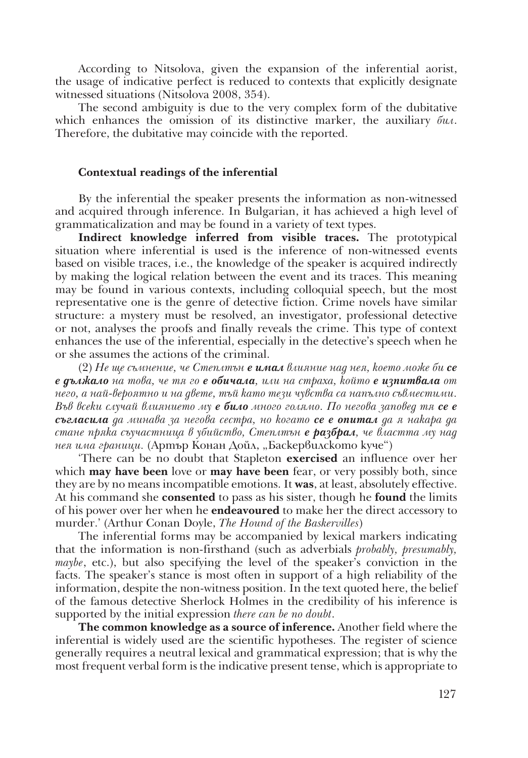According to Nitsolova, given the expansion of the inferential aorist, the usage of indicative perfect is reduced to contexts that explicitly designate witnessed situations (Nitsolova 2008, 354).

The second ambiguity is due to the very complex form of the dubitative which enhances the omission of its distinctive marker, the auxiliary *бил*. Therefore, the dubitative may coincide with the reported.

#### **Contextual readings of the inferential**

By the inferential the speaker presents the information as non-witnessed and acquired through inference. In Bulgarian, it has achieved a high level of grammaticalization and may be found in a variety of text types.

**Indirect knowledge inferred from visible traces.** The prototypical situation where inferential is used is the inference of non-witnessed events based on visible traces, i.e., the knowledge of the speaker is acquired indirectly by making the logical relation between the event and its traces. This meaning may be found in various contexts, including colloquial speech, but the most representative one is the genre of detective fiction. Crime novels have similar structure: a mystery must be resolved, an investigator, professional detective or not, analyses the proofs and finally reveals the crime. This type of context enhances the use of the inferential, especially in the detective's speech when he or she assumes the actions of the criminal.

(2) *Не ще съмнение, че Степлтън е имал влияние над нея, което може би се е дължало на това, че тя го е обичала, или на страха, който е изпитвала от него, а най-вероятно и на двете, тъй като тези чувства са напълно съвместими. Във всеки случай влиянието му е било много голямо. По негова заповед тя се е съгласила да минава за негова сестра, но когато се е опитал да я накара да стане пряка съучастница в убийство, Степлтън е разбрал, че властта му над нея има граници.* (Артър Конан Дойл, "Баскервилското куче")

'There can be no doubt that Stapleton **exercised** an influence over her which **may have been** love or **may have been** fear, or very possibly both, since they are by no means incompatible emotions. It **was**, at least, absolutely effective. At his command she **consented** to pass as his sister, though he **found** the limits of his power over her when he **endeavoured** to make her the direct accessory to murder.' (Arthur Conan Doyle, *The Hound of the Baskervilles*)

The inferential forms may be accompanied by lexical markers indicating that the information is non-firsthand (such as adverbials *probably, presumably, maybe*, etc.), but also specifying the level of the speaker's conviction in the facts. The speaker's stance is most often in support of a high reliability of the information, despite the non-witness position. In the text quoted here, the belief of the famous detective Sherlock Holmes in the credibility of his inference is supported by the initial expression *there can be no doubt*.

**The common knowledge as a source of inference.** Another field where the inferential is widely used are the scientific hypotheses. The register of science generally requires a neutral lexical and grammatical expression; that is why the most frequent verbal form is the indicative present tense, which is appropriate to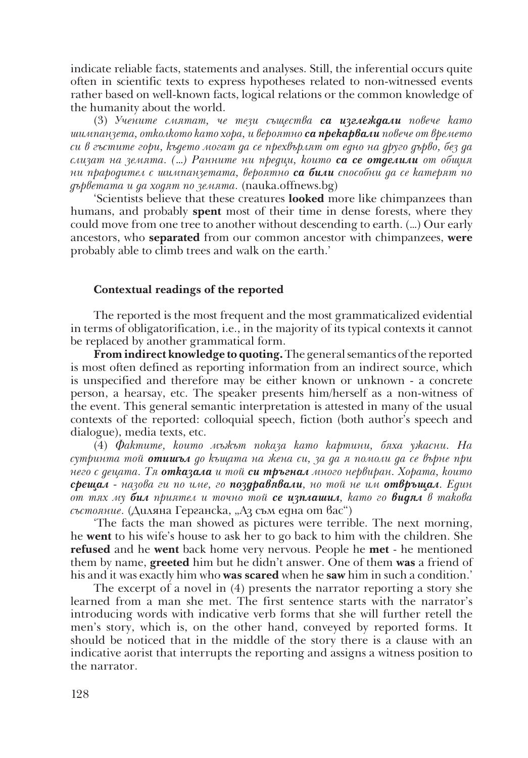indicate reliable facts, statements and analyses. Still, the inferential occurs quite often in scientific texts to express hypotheses related to non-witnessed events rather based on well-known facts, logical relations or the common knowledge of the humanity about the world.

(3) *Учените смятат, че тези същества са изглеждали повече като шимпанзета, отколкото като хора, и вероятно са прекарвали повече от времето си в гъстите гори, където могат да се прехвърлят от едно на друго дърво, без да слизат на земята. (…) Ранните ни предци, които са се отделили от общия ни прародител с шимпанзетата, вероятно са били способни да се катерят по дърветата и да ходят по земята.* (nauka.offnews.bg)

'Scientists believe that these creatures **looked** more like chimpanzees than humans, and probably **spent** most of their time in dense forests, where they could move from one tree to another without descending to earth. (…) Our early ancestors, who **separated** from our common ancestor with chimpanzees, **were** probably able to climb trees and walk on the earth.'

# **Contextual readings of the reported**

The reported is the most frequent and the most grammaticalized evidential in terms of obligatorification, i.e., in the majority of its typical contexts it cannot be replaced by another grammatical form.

**From indirect knowledge to quoting.** The general semantics of the reported is most often defined as reporting information from an indirect source, which is unspecified and therefore may be either known or unknown - a concrete person, a hearsay, etc. The speaker presents him/herself as a non-witness of the event. This general semantic interpretation is attested in many of the usual contexts of the reported: colloquial speech, fiction (both author's speech and dialogue), media texts, etc.

(4) *Фактите, които мъжът показа като картини, бяха ужасни. На сутринта той отишъл до къщата на жена си, за да я помоли да се върне при него с децата. Тя отказала и той си тръгнал много нервиран. Хората, които срещал - назова ги по име, го поздравявали, но той не им отвръщал. Един от тях му бил приятел и точно той се изплашил, като го видял в такова състояние.* (Диляна Герганска, "Аз съм една от вас")

'The facts the man showed as pictures were terrible. The next morning, he **went** to his wife's house to ask her to go back to him with the children. She **refused** and he **went** back home very nervous. People he **met** - he mentioned them by name, **greeted** him but he didn't answer. One of them **was** a friend of his and it was exactly him who **was scared** when he **saw** him in such a condition.'

The excerpt of a novel in (4) presents the narrator reporting a story she learned from a man she met. The first sentence starts with the narrator's introducing words with indicative verb forms that she will further retell the men's story, which is, on the other hand, conveyed by reported forms. It should be noticed that in the middle of the story there is a clause with an indicative aorist that interrupts the reporting and assigns a witness position to the narrator.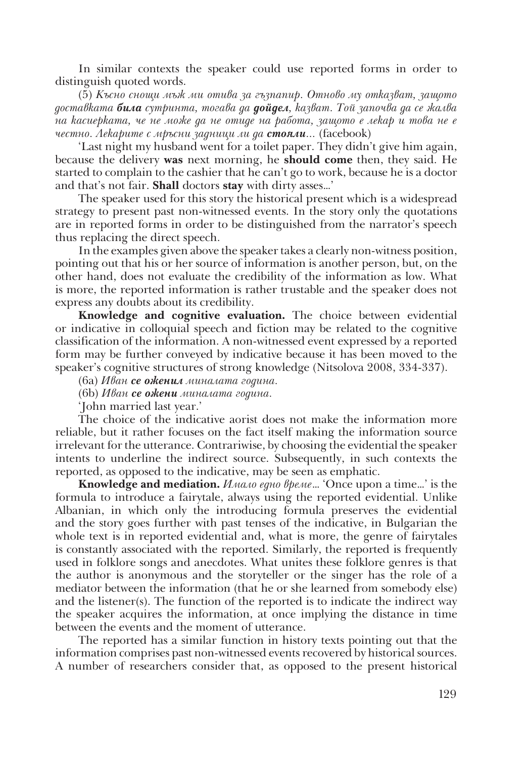In similar contexts the speaker could use reported forms in order to distinguish quoted words.

(5) *Късно снощи мъж ми отива за гъзпапир. Отново му отказват, защото доставката била сутринта, тогава да дойдел, казват. Той започва да се жалва на касиерката, че не може да не отиде на работа, защото е лекар и това не е честно. Лекарите с мръсни задници ли да стояли...* (facebook)

'Last night my husband went for a toilet paper. They didn't give him again, because the delivery **was** next morning, he **should come** then, they said. He started to complain to the cashier that he can't go to work, because he is a doctor and that's not fair. **Shall** doctors **stay** with dirty asses…'

The speaker used for this story the historical present which is a widespread strategy to present past non-witnessed events. In the story only the quotations are in reported forms in order to be distinguished from the narrator's speech thus replacing the direct speech.

In the examples given above the speaker takes a clearly non-witness position, pointing out that his or her source of information is another person, but, on the other hand, does not evaluate the credibility of the information as low. What is more, the reported information is rather trustable and the speaker does not express any doubts about its credibility.

**Knowledge and cognitive evaluation.** The choice between evidential or indicative in colloquial speech and fiction may be related to the cognitive classification of the information. A non-witnessed event expressed by a reported form may be further conveyed by indicative because it has been moved to the speaker's cognitive structures of strong knowledge (Nitsolova 2008, 334-337).

(6a) *Иван се оженил миналата година.*

(6b) *Иван се ожени миналата година.*

'John married last year.'

The choice of the indicative aorist does not make the information more reliable, but it rather focuses on the fact itself making the information source irrelevant for the utterance. Contrariwise, by choosing the evidential the speaker intents to underline the indirect source. Subsequently, in such contexts the reported, as opposed to the indicative, may be seen as emphatic.

**Knowledge and mediation.** *Имало едно време…* 'Once upon a time…' is the formula to introduce a fairytale, always using the reported evidential. Unlike Albanian, in which only the introducing formula preserves the evidential and the story goes further with past tenses of the indicative, in Bulgarian the whole text is in reported evidential and, what is more, the genre of fairytales is constantly associated with the reported. Similarly, the reported is frequently used in folklore songs and anecdotes. What unites these folklore genres is that the author is anonymous and the storyteller or the singer has the role of a mediator between the information (that he or she learned from somebody else) and the listener(s). The function of the reported is to indicate the indirect way the speaker acquires the information, at once implying the distance in time between the events and the moment of utterance.

The reported has a similar function in history texts pointing out that the information comprises past non-witnessed events recovered by historical sources. A number of researchers consider that, as opposed to the present historical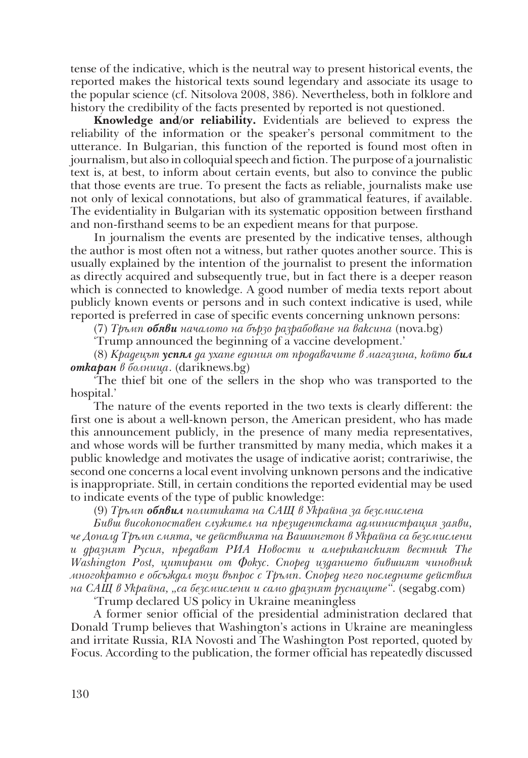tense of the indicative, which is the neutral way to present historical events, the reported makes the historical texts sound legendary and associate its usage to the popular science (cf. Nitsolova 2008, 386). Nevertheless, both in folklore and history the credibility of the facts presented by reported is not questioned.

**Knowledge and/or reliability.** Evidentials are believed to express the reliability of the information or the speaker's personal commitment to the utterance. In Bulgarian, this function of the reported is found most often in journalism, but also in colloquial speech and fiction. The purpose of a journalistic text is, at best, to inform about certain events, but also to convince the public that those events are true. To present the facts as reliable, journalists make use not only of lexical connotations, but also of grammatical features, if available. The evidentiality in Bulgarian with its systematic opposition between firsthand and non-firsthand seems to be an expedient means for that purpose.

In journalism the events are presented by the indicative tenses, although the author is most often not a witness, but rather quotes another source. This is usually explained by the intention of the journalist to present the information as directly acquired and subsequently true, but in fact there is a deeper reason which is connected to knowledge. A good number of media texts report about publicly known events or persons and in such context indicative is used, while reported is preferred in case of specific events concerning unknown persons:

(7) *Тръмп обяви началото на бързо разрабоване на ваксина* (nova.bg)

'Trump announced the beginning of a vaccine development.'

(8) *Крадецът успял да ухапе единия от продавачите в магазина, който бил откаран в болница*. (dariknews.bg)

'The thief bit one of the sellers in the shop who was transported to the hospital.'

The nature of the events reported in the two texts is clearly different: the first one is about a well-known person, the American president, who has made this announcement publicly, in the presence of many media representatives, and whose words will be further transmitted by many media, which makes it a public knowledge and motivates the usage of indicative aorist; contrariwise, the second one concerns a local event involving unknown persons and the indicative is inappropriate. Still, in certain conditions the reported evidential may be used to indicate events of the type of public knowledge:

(9) *Тръмп обявил политиката на САЩ в Украйна за безсмислена*

*Бивш високопоставен служител на президентската администрация заяви, че Доналд Тръмп смята, че действията на Вашингтон в Украйна са безсмислени и дразнят Русия, предават РИА Новости и американският вестник The Washington Post, цитирани от Фокус. Според изданието бившият чиновник многократно е обсъждал този въпрос с Тръмп. Според него последните действия на САЩ в Украйна, "са безсмислени и само дразнят руснаците"*. (segabg.com)

'Trump declared US policy in Ukraine meaningless

A former senior official of the presidential administration declared that Donald Trump believes that Washington's actions in Ukraine are meaningless and irritate Russia, RIA Novosti and The Washington Post reported, quoted by Focus. According to the publication, the former official has repeatedly discussed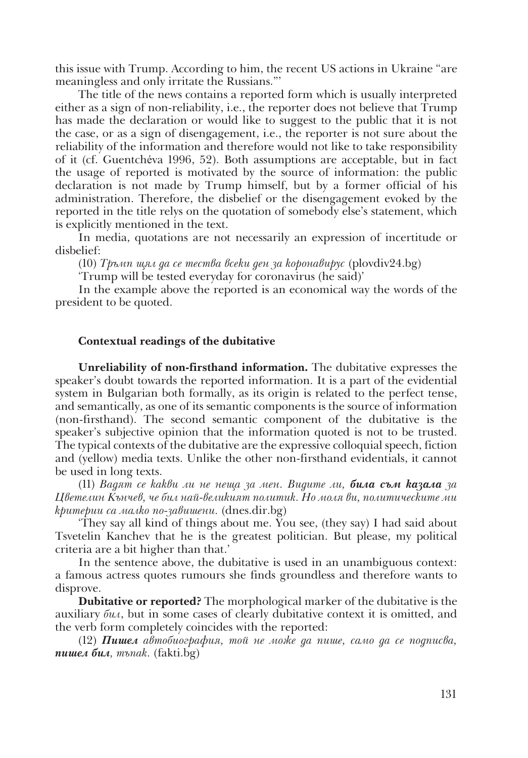this issue with Trump. According to him, the recent US actions in Ukraine "are meaningless and only irritate the Russians."'

The title of the news contains a reported form which is usually interpreted either as a sign of non-reliability, i.e., the reporter does not believe that Trump has made the declaration or would like to suggest to the public that it is not the case, or as a sign of disengagement, i.e., the reporter is not sure about the reliability of the information and therefore would not like to take responsibility of it (cf. Guentchéva 1996, 52). Both assumptions are acceptable, but in fact the usage of reported is motivated by the source of information: the public declaration is not made by Trump himself, but by a former official of his administration. Therefore, the disbelief or the disengagement evoked by the reported in the title relys on the quotation of somebody else's statement, which is explicitly mentioned in the text.

In media, quotations are not necessarily an expression of incertitude or disbelief:

(10) *Тръмп щял да се тества всеки ден за коронавирус* (plovdiv24.bg)

'Trump will be tested everyday for coronavirus (he said)'

In the example above the reported is an economical way the words of the president to be quoted.

#### **Contextual readings of the dubitative**

**Unreliability of non-firsthand information.** The dubitative expresses the speaker's doubt towards the reported information. It is a part of the evidential system in Bulgarian both formally, as its origin is related to the perfect tense, and semantically, as one of its semantic components is the source of information (non-firsthand). The second semantic component of the dubitative is the speaker's subjective opinion that the information quoted is not to be trusted. The typical contexts of the dubitative are the expressive colloquial speech, fiction and (yellow) media texts. Unlike the other non-firsthand evidentials, it cannot be used in long texts.

(11) *Вадят се какви ли не неща за мен. Видите ли, била съм казала за Цветелин Кънчев, че бил най-великият политик. Но моля ви, политическите ми критерии са малко по-завишени.* (dnes.dir.bg)

'They say all kind of things about me. You see, (they say) I had said about Tsvetelin Kanchev that he is the greatest politician. But please, my political criteria are a bit higher than that.'

In the sentence above, the dubitative is used in an unambiguous context: a famous actress quotes rumours she finds groundless and therefore wants to disprove.

**Dubitative or reported?** The morphological marker of the dubitative is the auxiliary *бил*, but in some cases of clearly dubitative context it is omitted, and the verb form completely coincides with the reported:

(12) *Пишел автобиография, той не може да пише, само да се подписва, пишел бил, тъпак.* (fakti.bg)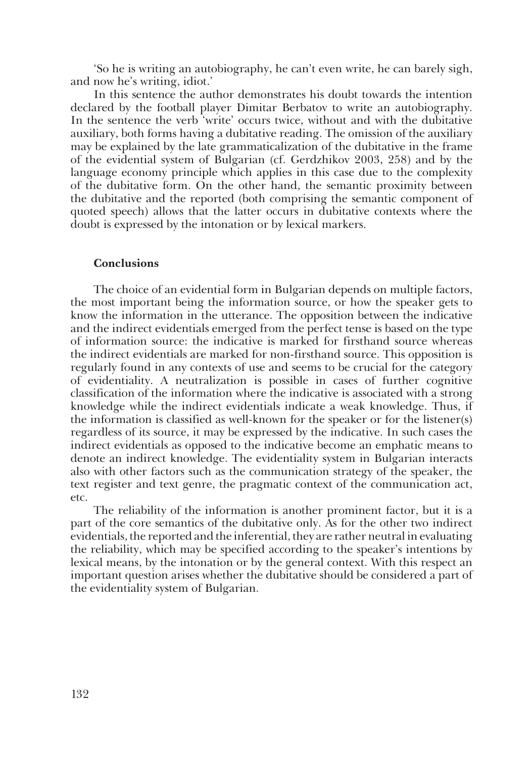'So he is writing an autobiography, he can't even write, he can barely sigh, and now he's writing, idiot.'

In this sentence the author demonstrates his doubt towards the intention declared by the football player Dimitar Berbatov to write an autobiography. In the sentence the verb 'write' occurs twice, without and with the dubitative auxiliary, both forms having a dubitative reading. The omission of the auxiliary may be explained by the late grammaticalization of the dubitative in the frame of the evidential system of Bulgarian (cf. Gerdzhikov 2003, 258) and by the language economy principle which applies in this case due to the complexity of the dubitative form. On the other hand, the semantic proximity between the dubitative and the reported (both comprising the semantic component of quoted speech) allows that the latter occurs in dubitative contexts where the doubt is expressed by the intonation or by lexical markers.

#### **Conclusions**

The choice of an evidential form in Bulgarian depends on multiple factors, the most important being the information source, or how the speaker gets to know the information in the utterance. The opposition between the indicative and the indirect evidentials emerged from the perfect tense is based on the type of information source: the indicative is marked for firsthand source whereas the indirect evidentials are marked for non-firsthand source. This opposition is regularly found in any contexts of use and seems to be crucial for the category of evidentiality. A neutralization is possible in cases of further cognitive classification of the information where the indicative is associated with a strong knowledge while the indirect evidentials indicate a weak knowledge. Thus, if the information is classified as well-known for the speaker or for the listener(s) regardless of its source, it may be expressed by the indicative. In such cases the indirect evidentials as opposed to the indicative become an emphatic means to denote an indirect knowledge. The evidentiality system in Bulgarian interacts also with other factors such as the communication strategy of the speaker, the text register and text genre, the pragmatic context of the communication act, etc.

The reliability of the information is another prominent factor, but it is a part of the core semantics of the dubitative only. As for the other two indirect evidentials, the reported and the inferential, they are rather neutral in evaluating the reliability, which may be specified according to the speaker's intentions by lexical means, by the intonation or by the general context. With this respect an important question arises whether the dubitative should be considered a part of the evidentiality system of Bulgarian.